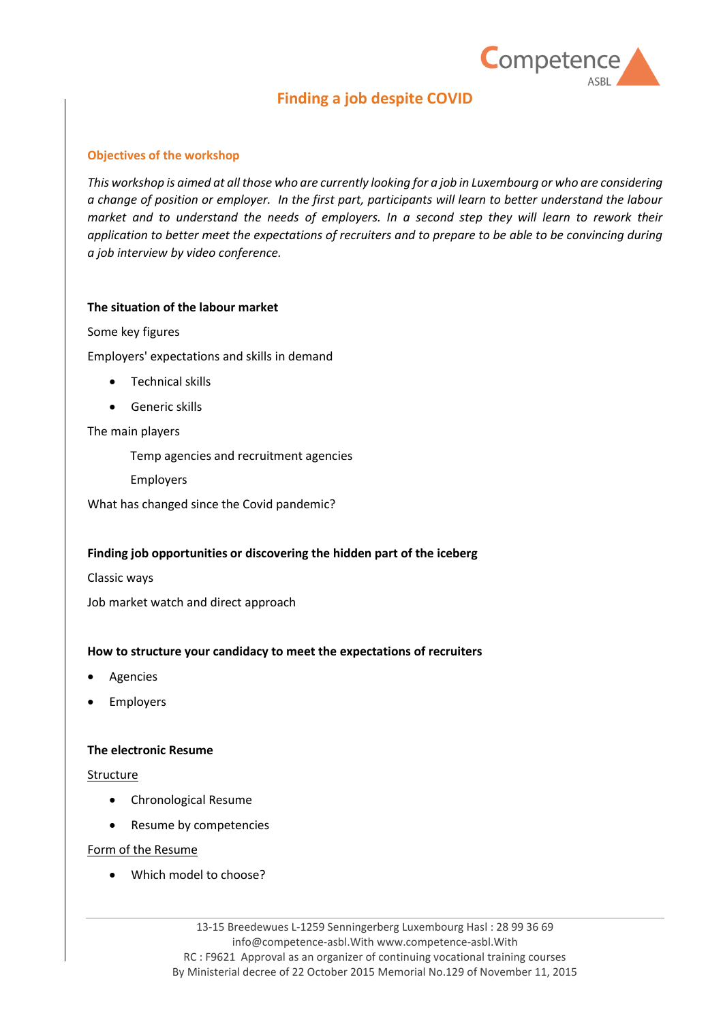

# **Finding a job despite COVID**

## **Objectives of the workshop**

*This workshop is aimed at all those who are currently looking for a job in Luxembourg or who are considering a change of position or employer. In the first part, participants will learn to better understand the labour market and to understand the needs of employers. In a second step they will learn to rework their application to better meet the expectations of recruiters and to prepare to be able to be convincing during a job interview by video conference.*

# **The situation of the labour market**

Some key figures

Employers' expectations and skills in demand

- Technical skills
- Generic skills

The main players

Temp agencies and recruitment agencies

Employers

What has changed since the Covid pandemic?

## **Finding job opportunities or discovering the hidden part of the iceberg**

Classic ways

Job market watch and direct approach

## **How to structure your candidacy to meet the expectations of recruiters**

- **Agencies**
- **Employers**

## **The electronic Resume**

## Structure

- Chronological Resume
- Resume by competencies

## Form of the Resume

• Which model to choose?